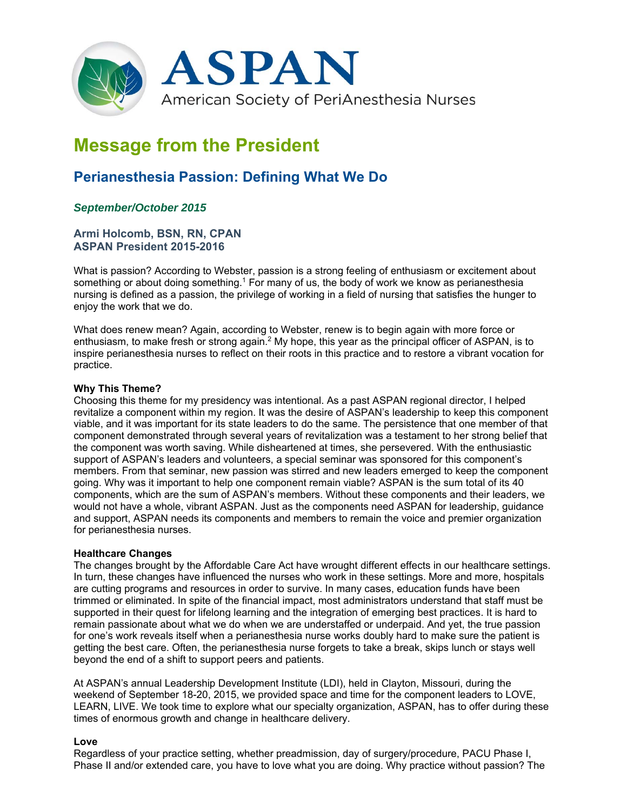

# **Message from the President**

## **Perianesthesia Passion: Defining What We Do**

### *September/October 2015*

#### **Armi Holcomb, BSN, RN, CPAN ASPAN President 2015-2016**

What is passion? According to Webster, passion is a strong feeling of enthusiasm or excitement about something or about doing something.<sup>1</sup> For many of us, the body of work we know as perianesthesia nursing is defined as a passion, the privilege of working in a field of nursing that satisfies the hunger to enjoy the work that we do.

What does renew mean? Again, according to Webster, renew is to begin again with more force or enthusiasm, to make fresh or strong again.<sup>2</sup> My hope, this year as the principal officer of ASPAN, is to inspire perianesthesia nurses to reflect on their roots in this practice and to restore a vibrant vocation for practice.

#### **Why This Theme?**

Choosing this theme for my presidency was intentional. As a past ASPAN regional director, I helped revitalize a component within my region. It was the desire of ASPAN's leadership to keep this component viable, and it was important for its state leaders to do the same. The persistence that one member of that component demonstrated through several years of revitalization was a testament to her strong belief that the component was worth saving. While disheartened at times, she persevered. With the enthusiastic support of ASPAN's leaders and volunteers, a special seminar was sponsored for this component's members. From that seminar, new passion was stirred and new leaders emerged to keep the component going. Why was it important to help one component remain viable? ASPAN is the sum total of its 40 components, which are the sum of ASPAN's members. Without these components and their leaders, we would not have a whole, vibrant ASPAN. Just as the components need ASPAN for leadership, guidance and support, ASPAN needs its components and members to remain the voice and premier organization for perianesthesia nurses.

#### **Healthcare Changes**

The changes brought by the Affordable Care Act have wrought different effects in our healthcare settings. In turn, these changes have influenced the nurses who work in these settings. More and more, hospitals are cutting programs and resources in order to survive. In many cases, education funds have been trimmed or eliminated. In spite of the financial impact, most administrators understand that staff must be supported in their quest for lifelong learning and the integration of emerging best practices. It is hard to remain passionate about what we do when we are understaffed or underpaid. And yet, the true passion for one's work reveals itself when a perianesthesia nurse works doubly hard to make sure the patient is getting the best care. Often, the perianesthesia nurse forgets to take a break, skips lunch or stays well beyond the end of a shift to support peers and patients.

At ASPAN's annual Leadership Development Institute (LDI), held in Clayton, Missouri, during the weekend of September 18-20, 2015, we provided space and time for the component leaders to LOVE, LEARN, LIVE. We took time to explore what our specialty organization, ASPAN, has to offer during these times of enormous growth and change in healthcare delivery.

#### **Love**

Regardless of your practice setting, whether preadmission, day of surgery/procedure, PACU Phase I, Phase II and/or extended care, you have to love what you are doing. Why practice without passion? The